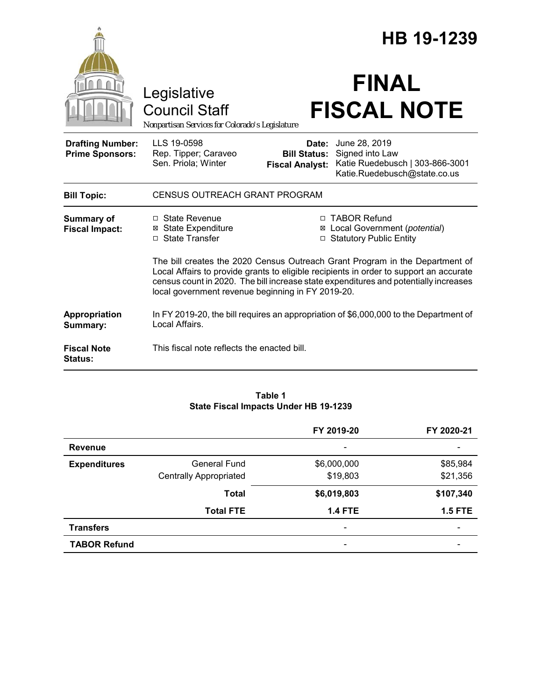|                                                   |                                                                                                                                                                                                                                                                                                                     | HB 19-1239                                             |                                                                                                     |  |
|---------------------------------------------------|---------------------------------------------------------------------------------------------------------------------------------------------------------------------------------------------------------------------------------------------------------------------------------------------------------------------|--------------------------------------------------------|-----------------------------------------------------------------------------------------------------|--|
|                                                   | Legislative<br><b>Council Staff</b><br>Nonpartisan Services for Colorado's Legislature                                                                                                                                                                                                                              |                                                        | <b>FINAL</b><br><b>FISCAL NOTE</b>                                                                  |  |
| <b>Drafting Number:</b><br><b>Prime Sponsors:</b> | LLS 19-0598<br>Rep. Tipper; Caraveo<br>Sen. Priola; Winter                                                                                                                                                                                                                                                          | Date:<br><b>Bill Status:</b><br><b>Fiscal Analyst:</b> | June 28, 2019<br>Signed into Law<br>Katie Ruedebusch   303-866-3001<br>Katie.Ruedebusch@state.co.us |  |
| <b>Bill Topic:</b>                                | <b>CENSUS OUTREACH GRANT PROGRAM</b>                                                                                                                                                                                                                                                                                |                                                        |                                                                                                     |  |
| <b>Summary of</b><br><b>Fiscal Impact:</b>        | $\Box$ State Revenue<br><b>⊠</b> State Expenditure<br>□ State Transfer                                                                                                                                                                                                                                              | □                                                      | □ TABOR Refund<br>⊠ Local Government (potential)<br><b>Statutory Public Entity</b>                  |  |
|                                                   | The bill creates the 2020 Census Outreach Grant Program in the Department of<br>Local Affairs to provide grants to eligible recipients in order to support an accurate<br>census count in 2020. The bill increase state expenditures and potentially increases<br>local government revenue beginning in FY 2019-20. |                                                        |                                                                                                     |  |
| Appropriation<br>Summary:                         | In FY 2019-20, the bill requires an appropriation of \$6,000,000 to the Department of<br>Local Affairs.                                                                                                                                                                                                             |                                                        |                                                                                                     |  |
| <b>Fiscal Note</b><br><b>Status:</b>              | This fiscal note reflects the enacted bill.                                                                                                                                                                                                                                                                         |                                                        |                                                                                                     |  |

### **Table 1 State Fiscal Impacts Under HB 19-1239**

|                     |                               | FY 2019-20     | FY 2020-21     |
|---------------------|-------------------------------|----------------|----------------|
| <b>Revenue</b>      |                               |                |                |
| <b>Expenditures</b> | General Fund                  | \$6,000,000    | \$85,984       |
|                     | <b>Centrally Appropriated</b> | \$19,803       | \$21,356       |
|                     | <b>Total</b>                  | \$6,019,803    | \$107,340      |
|                     | <b>Total FTE</b>              | <b>1.4 FTE</b> | <b>1.5 FTE</b> |
| <b>Transfers</b>    |                               |                |                |
| <b>TABOR Refund</b> |                               |                |                |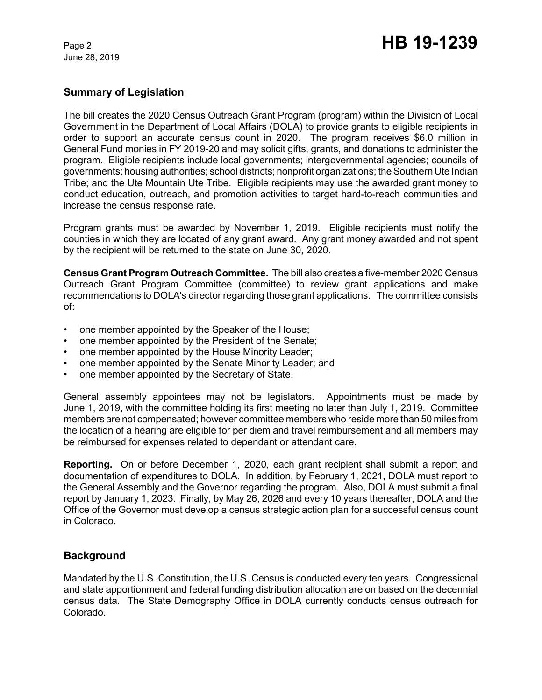June 28, 2019

## **Summary of Legislation**

The bill creates the 2020 Census Outreach Grant Program (program) within the Division of Local Government in the Department of Local Affairs (DOLA) to provide grants to eligible recipients in order to support an accurate census count in 2020. The program receives \$6.0 million in General Fund monies in FY 2019-20 and may solicit gifts, grants, and donations to administer the program. Eligible recipients include local governments; intergovernmental agencies; councils of governments; housing authorities; school districts; nonprofit organizations; theSouthern Ute Indian Tribe; and the Ute Mountain Ute Tribe. Eligible recipients may use the awarded grant money to conduct education, outreach, and promotion activities to target hard-to-reach communities and increase the census response rate.

Program grants must be awarded by November 1, 2019. Eligible recipients must notify the counties in which they are located of any grant award. Any grant money awarded and not spent by the recipient will be returned to the state on June 30, 2020.

**Census Grant Program Outreach Committee.** The bill also creates a five-member 2020 Census Outreach Grant Program Committee (committee) to review grant applications and make recommendations to DOLA's director regarding those grant applications. The committee consists of:

- one member appointed by the Speaker of the House;
- one member appointed by the President of the Senate;
- one member appointed by the House Minority Leader;
- one member appointed by the Senate Minority Leader; and
- one member appointed by the Secretary of State.

General assembly appointees may not be legislators. Appointments must be made by June 1, 2019, with the committee holding its first meeting no later than July 1, 2019. Committee members are not compensated; however committee members who reside more than 50 miles from the location of a hearing are eligible for per diem and travel reimbursement and all members may be reimbursed for expenses related to dependant or attendant care.

**Reporting.** On or before December 1, 2020, each grant recipient shall submit a report and documentation of expenditures to DOLA. In addition, by February 1, 2021, DOLA must report to the General Assembly and the Governor regarding the program. Also, DOLA must submit a final report by January 1, 2023. Finally, by May 26, 2026 and every 10 years thereafter, DOLA and the Office of the Governor must develop a census strategic action plan for a successful census count in Colorado.

# **Background**

Mandated by the U.S. Constitution, the U.S. Census is conducted every ten years. Congressional and state apportionment and federal funding distribution allocation are on based on the decennial census data. The State Demography Office in DOLA currently conducts census outreach for Colorado.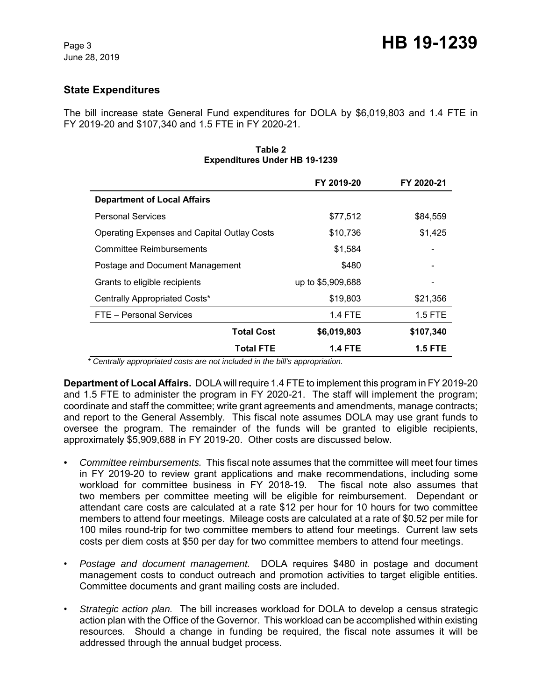# **State Expenditures**

The bill increase state General Fund expenditures for DOLA by \$6,019,803 and 1.4 FTE in FY 2019-20 and \$107,340 and 1.5 FTE in FY 2020-21.

|                                                    | FY 2019-20        | FY 2020-21     |
|----------------------------------------------------|-------------------|----------------|
| <b>Department of Local Affairs</b>                 |                   |                |
| <b>Personal Services</b>                           | \$77,512          | \$84,559       |
| <b>Operating Expenses and Capital Outlay Costs</b> | \$10,736          | \$1,425        |
| <b>Committee Reimbursements</b>                    | \$1,584           |                |
| Postage and Document Management                    | \$480             |                |
| Grants to eligible recipients                      | up to \$5,909,688 |                |
| Centrally Appropriated Costs*                      | \$19,803          | \$21,356       |
| FTE - Personal Services                            | <b>1.4 FTE</b>    | $1.5$ FTE      |
| <b>Total Cost</b>                                  | \$6,019,803       | \$107,340      |
| <b>Total FTE</b>                                   | <b>1.4 FTE</b>    | <b>1.5 FTE</b> |

#### **Table 2 Expenditures Under HB 19-1239**

 *\* Centrally appropriated costs are not included in the bill's appropriation.*

**Department of Local Affairs.** DOLA will require 1.4 FTE to implement this program in FY 2019-20 and 1.5 FTE to administer the program in FY 2020-21. The staff will implement the program; coordinate and staff the committee; write grant agreements and amendments, manage contracts; and report to the General Assembly. This fiscal note assumes DOLA may use grant funds to oversee the program. The remainder of the funds will be granted to eligible recipients, approximately \$5,909,688 in FY 2019-20. Other costs are discussed below.

- *Committee reimbursements.*This fiscal note assumes that the committee will meet four times in FY 2019-20 to review grant applications and make recommendations, including some workload for committee business in FY 2018-19. The fiscal note also assumes that two members per committee meeting will be eligible for reimbursement. Dependant or attendant care costs are calculated at a rate \$12 per hour for 10 hours for two committee members to attend four meetings. Mileage costs are calculated at a rate of \$0.52 per mile for 100 miles round-trip for two committee members to attend four meetings. Current law sets costs per diem costs at \$50 per day for two committee members to attend four meetings.
- *Postage and document management.* DOLA requires \$480 in postage and document management costs to conduct outreach and promotion activities to target eligible entities. Committee documents and grant mailing costs are included.
- *Strategic action plan.* The bill increases workload for DOLA to develop a census strategic action plan with the Office of the Governor. This workload can be accomplished within existing resources. Should a change in funding be required, the fiscal note assumes it will be addressed through the annual budget process.